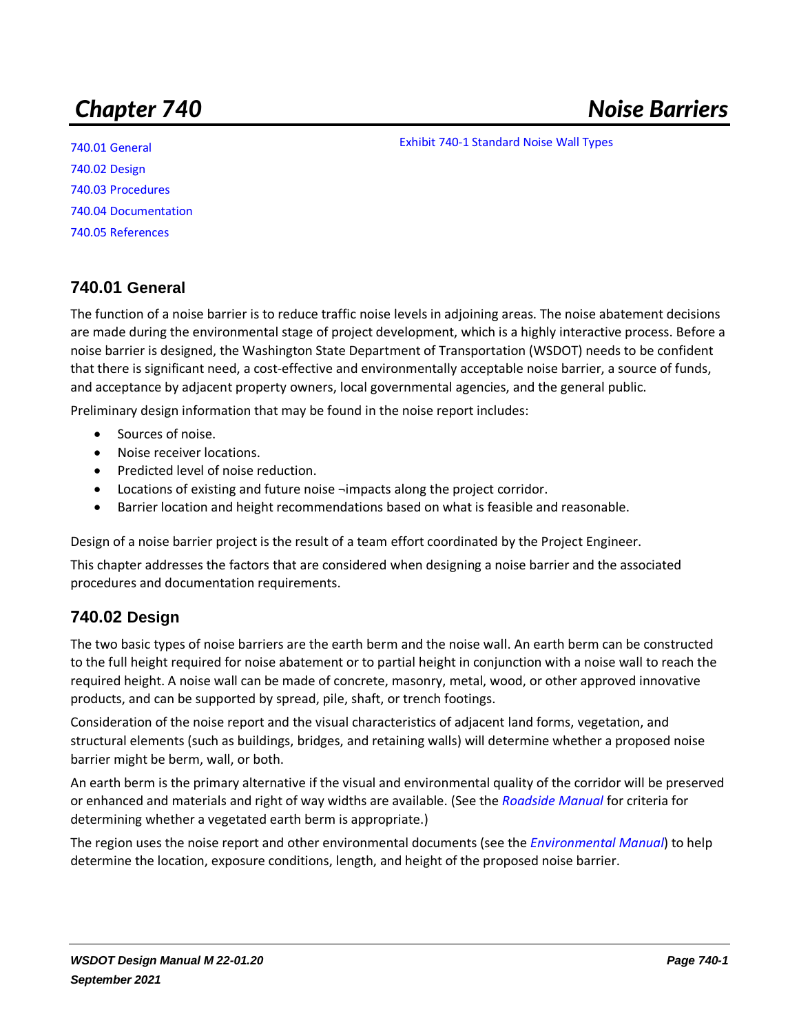[740.01 General](#page-0-0) [740.02 Design](#page-0-1) [740.03 Procedures](#page-3-0) [740.04 Documentation](#page-4-0) [740.05 References](#page-4-1)

# <span id="page-0-0"></span>**740.01 General**

The function of a noise barrier is to reduce traffic noise levels in adjoining areas. The noise abatement decisions are made during the environmental stage of project development, which is a highly interactive process. Before a noise barrier is designed, the Washington State Department of Transportation (WSDOT) needs to be confident that there is significant need, a cost-effective and environmentally acceptable noise barrier, a source of funds, and acceptance by adjacent property owners, local governmental agencies, and the general public.

[Exhibit 740-1 Standard Noise Wall Types](#page-2-0)

Preliminary design information that may be found in the noise report includes:

- Sources of noise.
- Noise receiver locations.
- Predicted level of noise reduction.
- Locations of existing and future noise ¬impacts along the project corridor.
- Barrier location and height recommendations based on what is feasible and reasonable.

Design of a noise barrier project is the result of a team effort coordinated by the Project Engineer.

This chapter addresses the factors that are considered when designing a noise barrier and the associated procedures and documentation requirements.

# <span id="page-0-1"></span>**740.02 Design**

The two basic types of noise barriers are the earth berm and the noise wall. An earth berm can be constructed to the full height required for noise abatement or to partial height in conjunction with a noise wall to reach the required height. A noise wall can be made of concrete, masonry, metal, wood, or other approved innovative products, and can be supported by spread, pile, shaft, or trench footings.

Consideration of the noise report and the visual characteristics of adjacent land forms, vegetation, and structural elements (such as buildings, bridges, and retaining walls) will determine whether a proposed noise barrier might be berm, wall, or both.

An earth berm is the primary alternative if the visual and environmental quality of the corridor will be preserved or enhanced and materials and right of way widths are available. (See the *[Roadside](http://www.wsdot.wa.gov/Publications/Manuals/M25-30.htm) Manual* for criteria for determining whether a vegetated earth berm is appropriate.)

The region uses the noise report and other environmental documents (see the *[Environmental](http://www.wsdot.wa.gov/publications/manuals/m31-11.htm) Manual*) to help determine the location, exposure conditions, length, and height of the proposed noise barrier.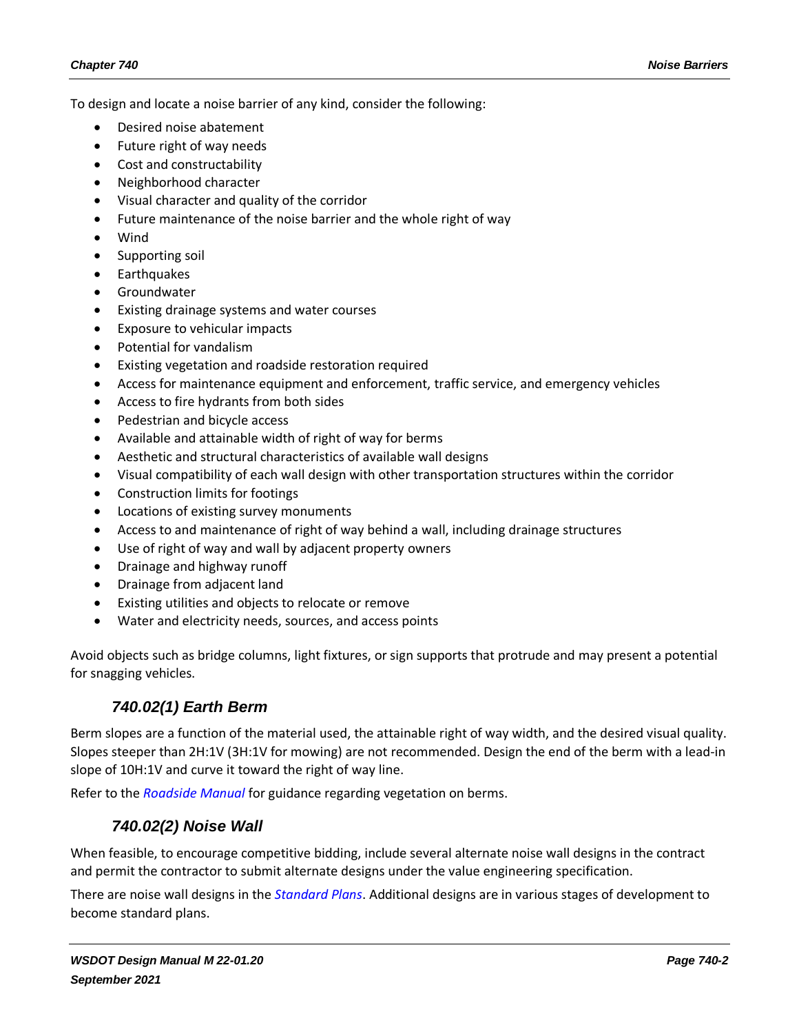To design and locate a noise barrier of any kind, consider the following:

- Desired noise abatement
- Future right of way needs
- Cost and constructability
- Neighborhood character
- Visual character and quality of the corridor
- Future maintenance of the noise barrier and the whole right of way
- Wind
- Supporting soil
- Earthquakes
- Groundwater
- Existing drainage systems and water courses
- Exposure to vehicular impacts
- Potential for vandalism
- Existing vegetation and roadside restoration required
- Access for maintenance equipment and enforcement, traffic service, and emergency vehicles
- Access to fire hydrants from both sides
- Pedestrian and bicycle access
- Available and attainable width of right of way for berms
- Aesthetic and structural characteristics of available wall designs
- Visual compatibility of each wall design with other transportation structures within the corridor
- Construction limits for footings
- Locations of existing survey monuments
- Access to and maintenance of right of way behind a wall, including drainage structures
- Use of right of way and wall by adjacent property owners
- Drainage and highway runoff
- Drainage from adjacent land
- Existing utilities and objects to relocate or remove
- Water and electricity needs, sources, and access points

Avoid objects such as bridge columns, light fixtures, or sign supports that protrude and may present a potential for snagging vehicles.

# *740.02(1) Earth Berm*

Berm slopes are a function of the material used, the attainable right of way width, and the desired visual quality. Slopes steeper than 2H:1V (3H:1V for mowing) are not recommended. Design the end of the berm with a lead-in slope of 10H:1V and curve it toward the right of way line.

Refer to the *[Roadside](http://www.wsdot.wa.gov/Publications/Manuals/M25-30.htm) Manual* for guidance regarding vegetation on berms.

#### *740.02(2) Noise Wall*

When feasible, to encourage competitive bidding, include several alternate noise wall designs in the contract and permit the contractor to submit alternate designs under the value engineering specification.

There are noise wall designs in the *[Standard](http://www.wsdot.wa.gov/Publications/Manuals/M21-01.htm) Plans*. Additional designs are in various stages of development to become standard plans.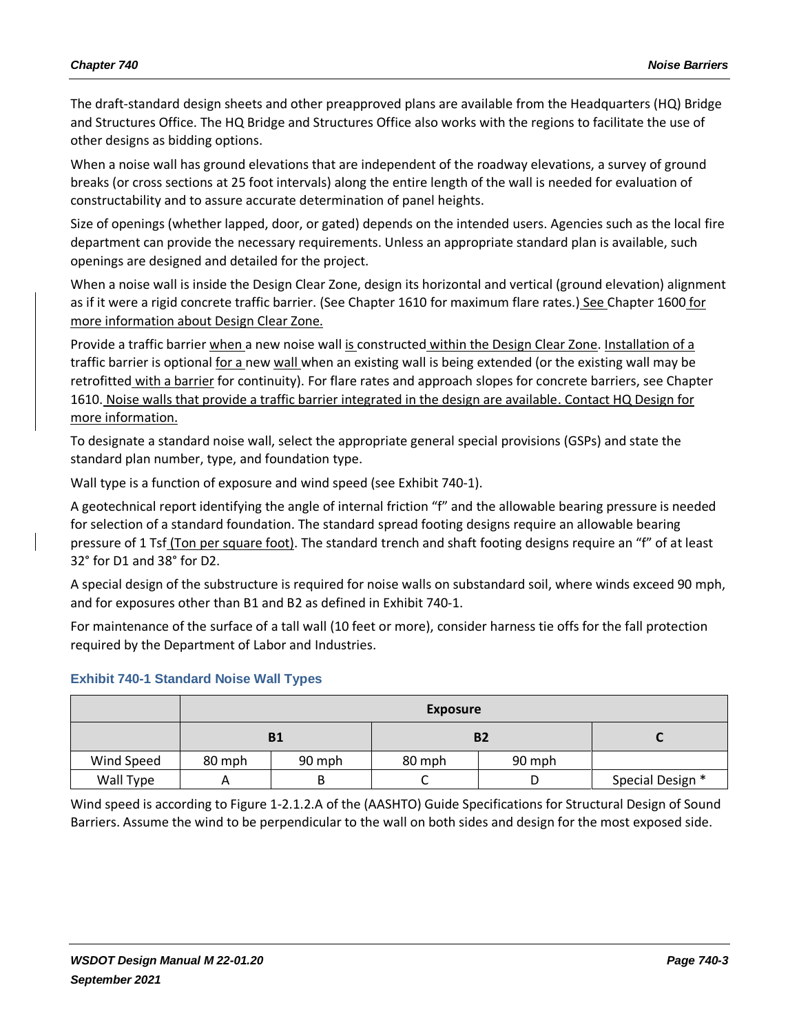The draft-standard design sheets and other preapproved plans are available from the Headquarters (HQ) Bridge and Structures Office. The HQ Bridge and Structures Office also works with the regions to facilitate the use of other designs as bidding options.

When a noise wall has ground elevations that are independent of the roadway elevations, a survey of ground breaks (or cross sections at 25 foot intervals) along the entire length of the wall is needed for evaluation of constructability and to assure accurate determination of panel heights.

Size of openings (whether lapped, door, or gated) depends on the intended users. Agencies such as the local fire department can provide the necessary requirements. Unless an appropriate standard plan is available, such openings are designed and detailed for the project.

When a noise wall is inside the Design Clear Zone, design its horizontal and vertical (ground elevation) alignment as if it were a rigid concrete traffic barrier. (See Chapter 1610 for maximum flare rates.) See Chapter 1600 for more information about Design Clear Zone.

Provide a traffic barrier when a new noise wall is constructed within the Design Clear Zone. Installation of a traffic barrier is optional for a new wall when an existing wall is being extended (or the existing wall may be retrofitted with a barrier for continuity). For flare rates and approach slopes for concrete barriers, see Chapter 1610. Noise walls that provide a traffic barrier integrated in the design are available. Contact HQ Design for more information.

To designate a standard noise wall, select the appropriate general special provisions (GSPs) and state the standard plan number, type, and foundation type.

Wall type is a function of exposure and wind speed (see [Exhibit 740-1\)](#page-2-0).

A geotechnical report identifying the angle of internal friction "f" and the allowable bearing pressure is needed for selection of a standard foundation. The standard spread footing designs require an allowable bearing pressure of 1 Tsf (Ton per square foot). The standard trench and shaft footing designs require an "f" of at least 32° for D1 and 38° for D2.

A special design of the substructure is required for noise walls on substandard soil, where winds exceed 90 mph, and for exposures other than B1 and B2 as defined in [Exhibit 740-1.](#page-2-0)

For maintenance of the surface of a tall wall (10 feet or more), consider harness tie offs for the fall protection required by the Department of Labor and Industries.

#### <span id="page-2-0"></span>**Exhibit 740-1 Standard Noise Wall Types**

|            | <b>Exposure</b> |        |           |        |                  |
|------------|-----------------|--------|-----------|--------|------------------|
|            | Β1              |        | <b>B2</b> |        |                  |
| Wind Speed | 80 mph          | 90 mph | 80 mph    | 90 mph |                  |
| Wall Type  |                 | В      |           |        | Special Design * |

Wind speed is according to Figure 1-2.1.2.A of the (AASHTO) Guide Specifications for Structural Design of Sound Barriers. Assume the wind to be perpendicular to the wall on both sides and design for the most exposed side.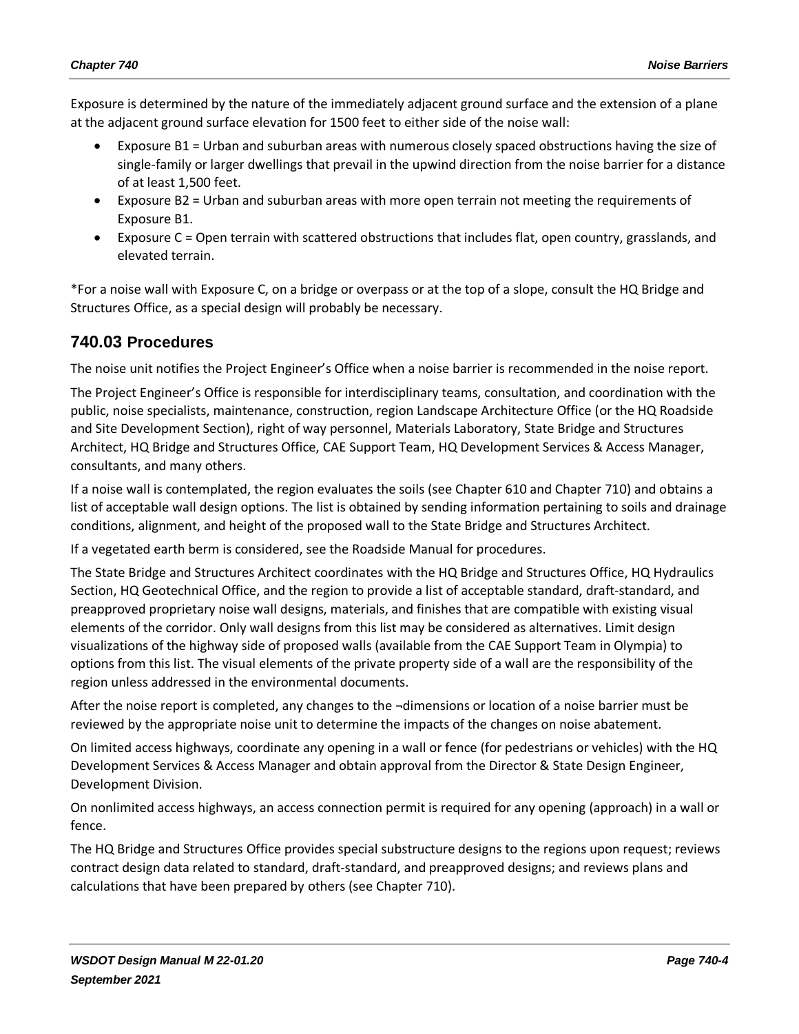Exposure is determined by the nature of the immediately adjacent ground surface and the extension of a plane at the adjacent ground surface elevation for 1500 feet to either side of the noise wall:

- Exposure B1 = Urban and suburban areas with numerous closely spaced obstructions having the size of single-family or larger dwellings that prevail in the upwind direction from the noise barrier for a distance of at least 1,500 feet.
- Exposure B2 = Urban and suburban areas with more open terrain not meeting the requirements of Exposure B1.
- Exposure C = Open terrain with scattered obstructions that includes flat, open country, grasslands, and elevated terrain.

\*For a noise wall with Exposure C, on a bridge or overpass or at the top of a slope, consult the HQ Bridge and Structures Office, as a special design will probably be necessary.

# <span id="page-3-0"></span>**740.03 Procedures**

The noise unit notifies the Project Engineer's Office when a noise barrier is recommended in the noise report.

The Project Engineer's Office is responsible for interdisciplinary teams, consultation, and coordination with the public, noise specialists, maintenance, construction, region Landscape Architecture Office (or the HQ Roadside and Site Development Section), right of way personnel, Materials Laboratory, State Bridge and Structures Architect, HQ Bridge and Structures Office, CAE Support Team, HQ Development Services & Access Manager, consultants, and many others.

If a noise wall is contemplated, the region evaluates the soils (see Chapter 610 and Chapter 710) and obtains a list of acceptable wall design options. The list is obtained by sending information pertaining to soils and drainage conditions, alignment, and height of the proposed wall to the State Bridge and Structures Architect.

If a vegetated earth berm is considered, see the [Roadside](http://www.wsdot.wa.gov/Publications/Manuals/M25-30.htm) Manual for procedures.

The State Bridge and Structures Architect coordinates with the HQ Bridge and Structures Office, HQ Hydraulics Section, HQ Geotechnical Office, and the region to provide a list of acceptable standard, draft-standard, and preapproved proprietary noise wall designs, materials, and finishes that are compatible with existing visual elements of the corridor. Only wall designs from this list may be considered as alternatives. Limit design visualizations of the highway side of proposed walls (available from the CAE Support Team in Olympia) to options from this list. The visual elements of the private property side of a wall are the responsibility of the region unless addressed in the environmental documents.

After the noise report is completed, any changes to the ¬dimensions or location of a noise barrier must be reviewed by the appropriate noise unit to determine the impacts of the changes on noise abatement.

On limited access highways, coordinate any opening in a wall or fence (for pedestrians or vehicles) with the HQ Development Services & Access Manager and obtain approval from the Director & State Design Engineer, Development Division.

On nonlimited access highways, an access connection permit is required for any opening (approach) in a wall or fence.

The HQ Bridge and Structures Office provides special substructure designs to the regions upon request; reviews contract design data related to standard, draft-standard, and preapproved designs; and reviews plans and calculations that have been prepared by others (see Chapter 710).